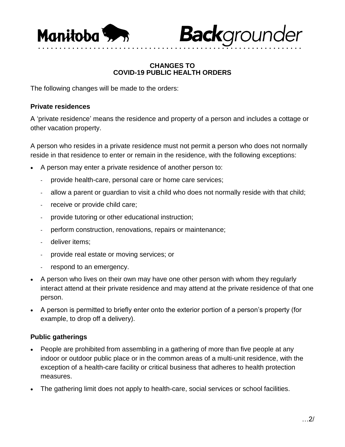

**Back**grounder

## **CHANGES TO COVID-19 PUBLIC HEALTH ORDERS**

• • • • • • • • • • • • • • • • • • • • • • • • • • • • • • • • • • • • • • • • • • • • • • • • • • • • • • • • • • • • • •

The following changes will be made to the orders:

## **Private residences**

A 'private residence' means the residence and property of a person and includes a cottage or other vacation property.

A person who resides in a private residence must not permit a person who does not normally reside in that residence to enter or remain in the residence, with the following exceptions:

- A person may enter a private residence of another person to:
	- provide health-care, personal care or home care services;
	- allow a parent or guardian to visit a child who does not normally reside with that child;
	- receive or provide child care;
	- provide tutoring or other educational instruction;
	- perform construction, renovations, repairs or maintenance;
	- deliver items;
	- provide real estate or moving services; or
	- respond to an emergency.
- A person who lives on their own may have one other person with whom they regularly interact attend at their private residence and may attend at the private residence of that one person.
- A person is permitted to briefly enter onto the exterior portion of a person's property (for example, to drop off a delivery).

## **Public gatherings**

- People are prohibited from assembling in a gathering of more than five people at any indoor or outdoor public place or in the common areas of a multi-unit residence, with the exception of a health-care facility or critical business that adheres to health protection measures.
- The gathering limit does not apply to health-care, social services or school facilities.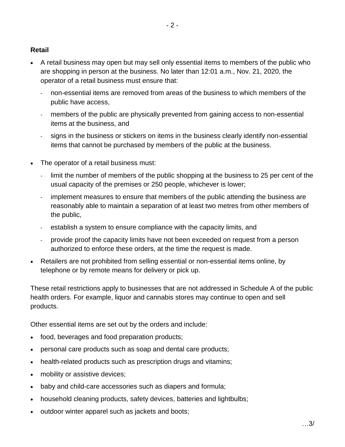## **Retail**

- A retail business may open but may sell only essential items to members of the public who are shopping in person at the business. No later than 12:01 a.m., Nov. 21, 2020, the operator of a retail business must ensure that:
	- non-essential items are removed from areas of the business to which members of the public have access,
	- members of the public are physically prevented from gaining access to non-essential items at the business, and
	- signs in the business or stickers on items in the business clearly identify non-essential items that cannot be purchased by members of the public at the business.
- The operator of a retail business must:
	- limit the number of members of the public shopping at the business to 25 per cent of the usual capacity of the premises or 250 people, whichever is lower;
	- implement measures to ensure that members of the public attending the business are reasonably able to maintain a separation of at least two metres from other members of the public,
	- establish a system to ensure compliance with the capacity limits, and
	- provide proof the capacity limits have not been exceeded on request from a person authorized to enforce these orders, at the time the request is made.
- Retailers are not prohibited from selling essential or non-essential items online, by telephone or by remote means for delivery or pick up.

These retail restrictions apply to businesses that are not addressed in Schedule A of the public health orders. For example, liquor and cannabis stores may continue to open and sell products.

Other essential items are set out by the orders and include:

- food, beverages and food preparation products;
- personal care products such as soap and dental care products;
- health-related products such as prescription drugs and vitamins;
- mobility or assistive devices;
- baby and child-care accessories such as diapers and formula;
- household cleaning products, safety devices, batteries and lightbulbs;
- outdoor winter apparel such as jackets and boots;